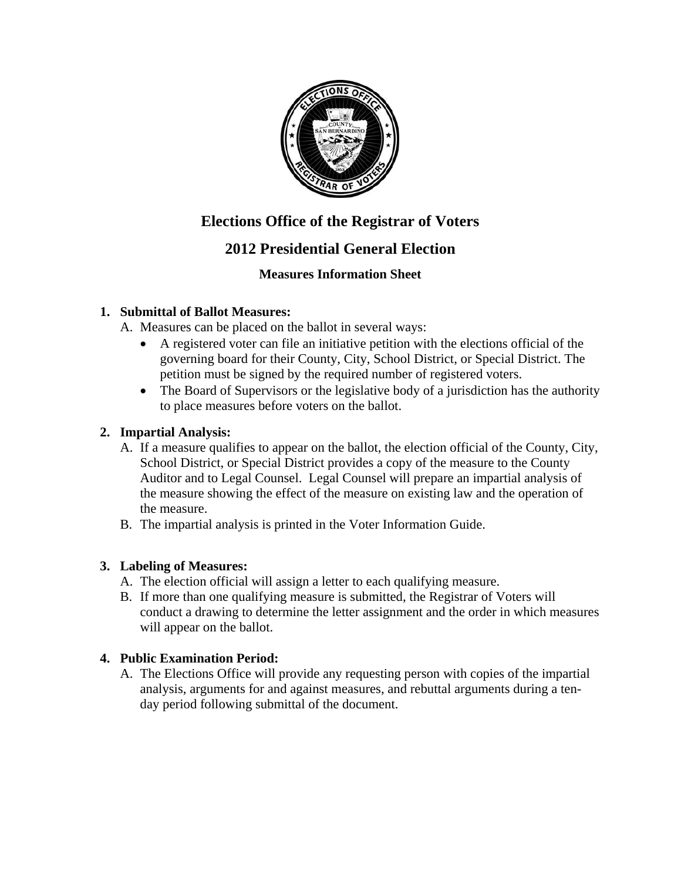

# **Elections Office of the Registrar of Voters**

## **2012 Presidential General Election**

## **Measures Information Sheet**

#### **1. Submittal of Ballot Measures:**

A. Measures can be placed on the ballot in several ways:

- A registered voter can file an initiative petition with the elections official of the governing board for their County, City, School District, or Special District. The petition must be signed by the required number of registered voters.
- The Board of Supervisors or the legislative body of a jurisdiction has the authority to place measures before voters on the ballot.

#### **2. Impartial Analysis:**

- A. If a measure qualifies to appear on the ballot, the election official of the County, City, School District, or Special District provides a copy of the measure to the County Auditor and to Legal Counsel. Legal Counsel will prepare an impartial analysis of the measure showing the effect of the measure on existing law and the operation of the measure.
- B. The impartial analysis is printed in the Voter Information Guide.

## **3. Labeling of Measures:**

- A. The election official will assign a letter to each qualifying measure.
- B. If more than one qualifying measure is submitted, the Registrar of Voters will conduct a drawing to determine the letter assignment and the order in which measures will appear on the ballot.

## **4. Public Examination Period:**

A. The Elections Office will provide any requesting person with copies of the impartial analysis, arguments for and against measures, and rebuttal arguments during a tenday period following submittal of the document.